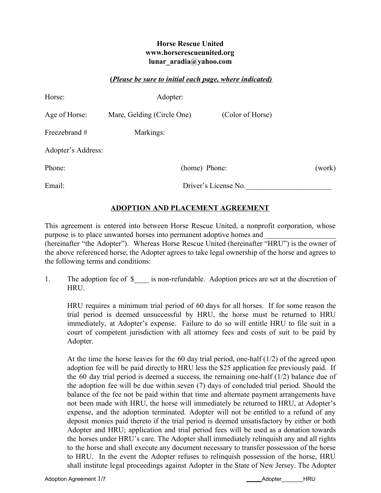### **Horse Rescue United www.horserescueunited.org lunar\_aradia@yahoo.com**

#### **(***Please be sure to initial each page, where indicated)*

| Horse:             | Adopter:                   |                      |        |
|--------------------|----------------------------|----------------------|--------|
| Age of Horse:      | Mare, Gelding (Circle One) | (Color of Horse)     |        |
| Freezebrand #      | Markings:                  |                      |        |
| Adopter's Address: |                            |                      |        |
| Phone:             | (home) Phone:              |                      | (work) |
| Email:             |                            | Driver's License No. |        |

# **ADOPTION AND PLACEMENT AGREEMENT**

This agreement is entered into between Horse Rescue United, a nonprofit corporation, whose purpose is to place unwanted horses into permanent adoptive homes and (hereinafter "the Adopter"). Whereas Horse Rescue United (hereinafter "HRU") is the owner of the above referenced horse, the Adopter agrees to take legal ownership of the horse and agrees to the following terms and conditions:

1. The adoption fee of \$\_\_\_\_ is non-refundable. Adoption prices are set at the discretion of HRU.

HRU requires a minimum trial period of 60 days for all horses. If for some reason the trial period is deemed unsuccessful by HRU, the horse must be returned to HRU immediately, at Adopter's expense. Failure to do so will entitle HRU to file suit in a court of competent jurisdiction with all attorney fees and costs of suit to be paid by Adopter.

At the time the horse leaves for the 60 day trial period, one-half (1/2) of the agreed upon adoption fee will be paid directly to HRU less the \$25 application fee previously paid. If the 60 day trial period is deemed a success, the remaining one-half (1/2) balance due of the adoption fee will be due within seven (7) days of concluded trial period. Should the balance of the fee not be paid within that time and alternate payment arrangements have not been made with HRU, the horse will immediately be returned to HRU, at Adopter's expense, and the adoption terminated. Adopter will not be entitled to a refund of any deposit monies paid thereto if the trial period is deemed unsatisfactory by either or both Adopter and HRU; application and trial period fees will be used as a donation towards the horses under HRU's care. The Adopter shall immediately relinquish any and all rights to the horse and shall execute any document necessary to transfer possession of the horse to HRU. In the event the Adopter refuses to relinquish possession of the horse, HRU shall institute legal proceedings against Adopter in the State of New Jersey. The Adopter

Adoption Agreement 1/7 **Adoption Agreement 1/7** Adoption Agreement 1/7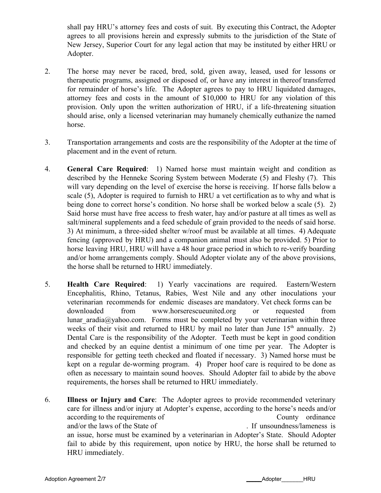shall pay HRU's attorney fees and costs of suit. By executing this Contract, the Adopter agrees to all provisions herein and expressly submits to the jurisdiction of the State of New Jersey, Superior Court for any legal action that may be instituted by either HRU or Adopter.

- 2. The horse may never be raced, bred, sold, given away, leased, used for lessons or therapeutic programs, assigned or disposed of, or have any interest in thereof transferred for remainder of horse's life. The Adopter agrees to pay to HRU liquidated damages, attorney fees and costs in the amount of \$10,000 to HRU for any violation of this provision. Only upon the written authorization of HRU, if a life-threatening situation should arise, only a licensed veterinarian may humanely chemically euthanize the named horse.
- 3. Transportation arrangements and costs are the responsibility of the Adopter at the time of placement and in the event of return.
- 4. **General Care Required**: 1) Named horse must maintain weight and condition as described by the Henneke Scoring System between Moderate (5) and Fleshy (7). This will vary depending on the level of exercise the horse is receiving. If horse falls below a scale (5), Adopter is required to furnish to HRU a vet certification as to why and what is being done to correct horse's condition. No horse shall be worked below a scale (5). 2) Said horse must have free access to fresh water, hay and/or pasture at all times as well as salt/mineral supplements and a feed schedule of grain provided to the needs of said horse. 3) At minimum, a three-sided shelter w/roof must be available at all times. 4) Adequate fencing (approved by HRU) and a companion animal must also be provided. 5) Prior to horse leaving HRU, HRU will have a 48 hour grace period in which to re-verify boarding and/or home arrangements comply. Should Adopter violate any of the above provisions, the horse shall be returned to HRU immediately.
- 5. **Health Care Required**: 1) Yearly vaccinations are required. Eastern/Western Encephalitis, Rhino, Tetanus, Rabies, West Nile and any other inoculations your veterinarian recommends for endemic diseases are mandatory. Vet check forms can be downloaded from www.horserescueunited.org or requested from lunar aradia@yahoo.com. Forms must be completed by your veterinarian within three weeks of their visit and returned to HRU by mail no later than June  $15<sup>th</sup>$  annually. 2) Dental Care is the responsibility of the Adopter. Teeth must be kept in good condition and checked by an equine dentist a minimum of one time per year. The Adopter is responsible for getting teeth checked and floated if necessary. 3) Named horse must be kept on a regular de-worming program. 4) Proper hoof care is required to be done as often as necessary to maintain sound hooves. Should Adopter fail to abide by the above requirements, the horses shall be returned to HRU immediately.
- 6. **Illness or Injury and Care**: The Adopter agrees to provide recommended veterinary care for illness and/or injury at Adopter's expense, according to the horse's needs and/or according to the requirements of County ordinance and/or the laws of the State of . If unsoundness/lameness is an issue, horse must be examined by a veterinarian in Adopter's State. Should Adopter fail to abide by this requirement, upon notice by HRU, the horse shall be returned to HRU immediately.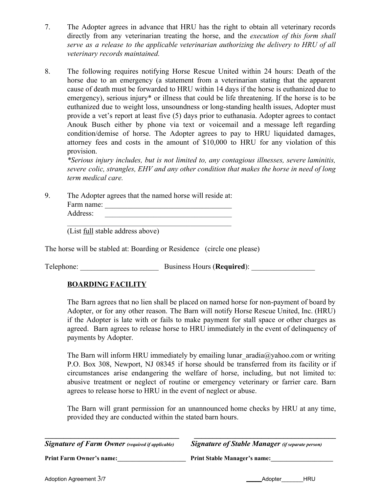- 7. The Adopter agrees in advance that HRU has the right to obtain all veterinary records directly from any veterinarian treating the horse, and the *execution of this form shall serve as a release to the applicable veterinarian authorizing the delivery to HRU of all veterinary records maintained.*
- 8. The following requires notifying Horse Rescue United within 24 hours: Death of the horse due to an emergency (a statement from a veterinarian stating that the apparent cause of death must be forwarded to HRU within 14 days if the horse is euthanized due to emergency), serious injury<sup>\*</sup> or illness that could be life threatening. If the horse is to be euthanized due to weight loss, unsoundness or long-standing health issues, Adopter must provide a vet's report at least five (5) days prior to euthanasia. Adopter agrees to contact Anouk Busch either by phone via text or voicemail and a message left regarding condition/demise of horse. The Adopter agrees to pay to HRU liquidated damages, attorney fees and costs in the amount of \$10,000 to HRU for any violation of this provision.

*\*Serious injury includes, but is not limited to, any contagious illnesses, severe laminitis, severe colic, strangles, EHV and any other condition that makes the horse in need of long term medical care.*

9. The Adopter agrees that the named horse will reside at: Farm name: \_\_\_\_\_\_\_\_\_\_\_\_\_\_\_\_\_\_\_\_\_\_\_\_\_\_\_\_\_\_\_\_\_\_ Address:

(List full stable address above)

The horse will be stabled at: Boarding or Residence (circle one please)

 $\mathcal{L}_\text{max}$  , and the set of the set of the set of the set of the set of the set of the set of the set of the set of the set of the set of the set of the set of the set of the set of the set of the set of the set of the

Telephone: Business Hours (**Required**):

# **BOARDING FACILITY**

The Barn agrees that no lien shall be placed on named horse for non-payment of board by Adopter, or for any other reason. The Barn will notify Horse Rescue United, Inc. (HRU) if the Adopter is late with or fails to make payment for stall space or other charges as agreed. Barn agrees to release horse to HRU immediately in the event of delinquency of payments by Adopter.

The Barn will inform HRU immediately by emailing lunar  $\arctan(\alpha)$  and  $\arctan(\alpha)$  or writing P.O. Box 308, Newport, NJ 08345 if horse should be transferred from its facility or if circumstances arise endangering the welfare of horse, including, but not limited to: abusive treatment or neglect of routine or emergency veterinary or farrier care. Barn agrees to release horse to HRU in the event of neglect or abuse.

The Barn will grant permission for an unannounced home checks by HRU at any time, provided they are conducted within the stated barn hours.

| <b>Signature of Farm Owner</b> (required if applicable) | <b>Signature of Stable Manager</b> (if separate person) |  |
|---------------------------------------------------------|---------------------------------------------------------|--|
| <b>Print Farm Owner's name:</b>                         | <b>Print Stable Manager's name:</b>                     |  |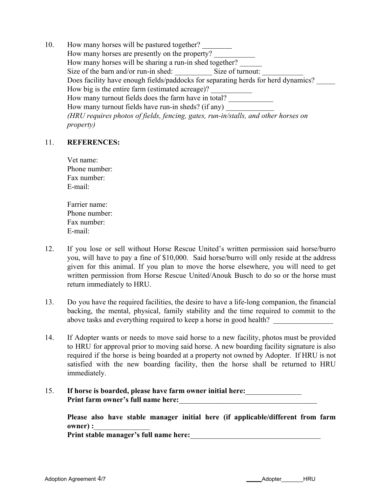10. How many horses will be pastured together? How many horses are presently on the property? How many horses will be sharing a run-in shed together? Size of the barn and/or run-in shed: Size of turnout: Does facility have enough fields/paddocks for separating herds for herd dynamics? How big is the entire farm (estimated acreage)? How many turnout fields does the farm have in total? How many turnout fields have run-in sheds? (if any) *(HRU requires photos of fields, fencing, gates, run-in/stalls, and other horses on property)*

#### 11. **REFERENCES:**

Vet name: Phone number: Fax number: E-mail:

Farrier name: Phone number: Fax number: E-mail:

- 12. If you lose or sell without Horse Rescue United's written permission said horse/burro you, will have to pay a fine of \$10,000. Said horse/burro will only reside at the address given for this animal. If you plan to move the horse elsewhere, you will need to get written permission from Horse Rescue United/Anouk Busch to do so or the horse must return immediately to HRU.
- 13. Do you have the required facilities, the desire to have a life-long companion, the financial backing, the mental, physical, family stability and the time required to commit to the above tasks and everything required to keep a horse in good health?
- 14. If Adopter wants or needs to move said horse to a new facility, photos must be provided to HRU for approval prior to moving said horse. A new boarding facility signature is also required if the horse is being boarded at a property not owned by Adopter. If HRU is not satisfied with the new boarding facility, then the horse shall be returned to HRU immediately.
- 15. **If horse is boarded, please have farm owner initial here:**\_\_\_\_\_\_\_\_\_\_\_\_\_\_\_ **Print farm owner's full name here:**

**Please also have stable manager initial here (if applicable/different from farm owner) :** 

**Print stable manager's full name here:** 

Adoption Agreement 4/7 **Adoption Agreement 4/7 Adoption Agreement 4/7 Adoption Agreement 4/7**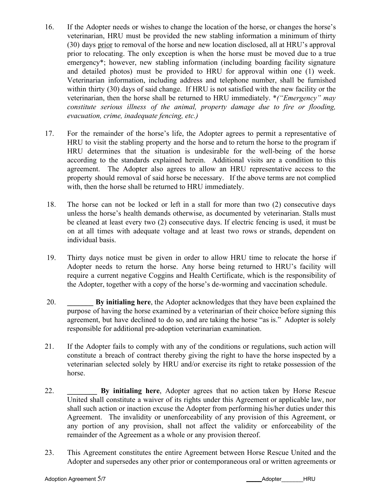- 16. If the Adopter needs or wishes to change the location of the horse, or changes the horse's veterinarian, HRU must be provided the new stabling information a minimum of thirty (30) days prior to removal of the horse and new location disclosed, all at HRU's approval prior to relocating. The only exception is when the horse must be moved due to a true emergency\*; however, new stabling information (including boarding facility signature and detailed photos) must be provided to HRU for approval within one (1) week. Veterinarian information, including address and telephone number, shall be furnished within thirty (30) days of said change. If HRU is not satisfied with the new facility or the veterinarian, then the horse shall be returned to HRU immediately. \**("Emergency" may constitute serious illness of the animal, property damage due to fire or flooding, evacuation, crime, inadequate fencing, etc.)*
- 17. For the remainder of the horse's life, the Adopter agrees to permit a representative of HRU to visit the stabling property and the horse and to return the horse to the program if HRU determines that the situation is undesirable for the well-being of the horse according to the standards explained herein. Additional visits are a condition to this agreement. The Adopter also agrees to allow an HRU representative access to the property should removal of said horse be necessary. If the above terms are not complied with, then the horse shall be returned to HRU immediately.
- 18. The horse can not be locked or left in a stall for more than two (2) consecutive days unless the horse's health demands otherwise, as documented by veterinarian. Stalls must be cleaned at least every two (2) consecutive days. If electric fencing is used, it must be on at all times with adequate voltage and at least two rows or strands, dependent on individual basis.
- 19. Thirty days notice must be given in order to allow HRU time to relocate the horse if Adopter needs to return the horse. Any horse being returned to HRU's facility will require a current negative Coggins and Health Certificate, which is the responsibility of the Adopter, together with a copy of the horse's de-worming and vaccination schedule.
- 20. **\_\_\_\_\_\_\_ By initialing here**, the Adopter acknowledges that they have been explained the purpose of having the horse examined by a veterinarian of their choice before signing this agreement, but have declined to do so, and are taking the horse "as is." Adopter is solely responsible for additional pre-adoption veterinarian examination.
- 21. If the Adopter fails to comply with any of the conditions or regulations, such action will constitute a breach of contract thereby giving the right to have the horse inspected by a veterinarian selected solely by HRU and/or exercise its right to retake possession of the horse.
- 22. **\_\_\_\_\_\_\_\_ By initialing here**, Adopter agrees that no action taken by Horse Rescue United shall constitute a waiver of its rights under this Agreement or applicable law, nor shall such action or inaction excuse the Adopter from performing his/her duties under this Agreement. The invalidity or unenforceability of any provision of this Agreement, or any portion of any provision, shall not affect the validity or enforceability of the remainder of the Agreement as a whole or any provision thereof.
- 23. This Agreement constitutes the entire Agreement between Horse Rescue United and the Adopter and supersedes any other prior or contemporaneous oral or written agreements or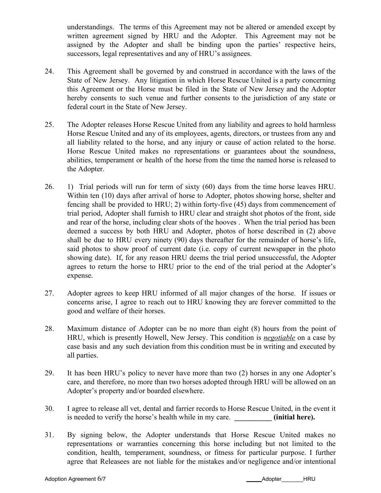understandings. The terms of this Agreement may not be altered or amended except by written agreement signed by HRU and the Adopter. This Agreement may not be assigned by the Adopter and shall be binding upon the parties' respective heirs, successors, legal representatives and any of HRU's assignees.

- 24. This Agreement shall be governed by and construed in accordance with the laws of the State of New Jersey. Any litigation in which Horse Rescue United is a party concerning this Agreement or the Horse must be filed in the State of New Jersey and the Adopter hereby consents to such venue and further consents to the jurisdiction of any state or federal court in the State of New Jersey.
- 25. The Adopter releases Horse Rescue United from any liability and agrees to hold harmless Horse Rescue United and any of its employees, agents, directors, or trustees from any and all liability related to the horse, and any injury or cause of action related to the horse. Horse Rescue United makes no representations or guarantees about the soundness, abilities, temperament or health of the horse from the time the named horse is released to the Adopter.
- 26. 1) Trial periods will run for term of sixty (60) days from the time horse leaves HRU. Within ten (10) days after arrival of horse to Adopter, photos showing horse, shelter and fencing shall be provided to HRU; 2) within forty-five (45) days from commencement of trial period, Adopter shall furnish to HRU clear and straight shot photos of the front, side and rear of the horse, including clear shots of the hooves . When the trial period has been deemed a success by both HRU and Adopter, photos of horse described in (2) above shall be due to HRU every ninety (90) days thereafter for the remainder of horse's life, said photos to show proof of current date (i.e. copy of current newspaper in the photo showing date). If, for any reason HRU deems the trial period unsuccessful, the Adopter agrees to return the horse to HRU prior to the end of the trial period at the Adopter's expense.
- 27. Adopter agrees to keep HRU informed of all major changes of the horse. If issues or concerns arise, I agree to reach out to HRU knowing they are forever committed to the good and welfare of their horses.
- 28. Maximum distance of Adopter can be no more than eight (8) hours from the point of HRU, which is presently Howell, New Jersey. This condition is *negotiable* on a case by case basis and any such deviation from this condition must be in writing and executed by all parties.
- 29. It has been HRU's policy to never have more than two (2) horses in any one Adopter's care, and therefore, no more than two horses adopted through HRU will be allowed on an Adopter's property and/or boarded elsewhere.
- 30. I agree to release all vet, dental and farrier records to Horse Rescue United, in the event it is needed to verify the horse's health while in my care. *(initial here).*
- 31. By signing below, the Adopter understands that Horse Rescue United makes no representations or warranties concerning this horse including but not limited to the condition, health, temperament, soundness, or fitness for particular purpose. I further agree that Releasees are not liable for the mistakes and/or negligence and/or intentional